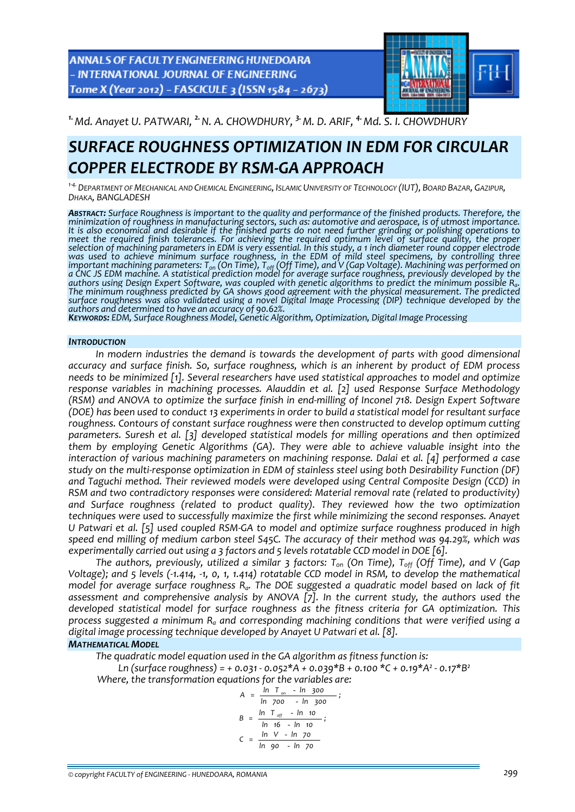ANNALS OF FACULTY ENGINEERING HUNEDOARA - INTERNATIONAL JOURNAL OF ENGINEERING Tome X (Year 2012) - FASCICULE 3 (ISSN 1584 - 2673)



*1.Md. Anayet U. PATWARI, 2.N. A. CHOWDHURY, 3.M. D. ARIF, 4.Md. S. I. CHOWDHURY* 

## *SURFACE ROUGHNESS OPTIMIZATION IN EDM FOR CIRCULAR COPPER ELECTRODE BY RSM‐GA APPROACH*

<sup>1-4</sup> DEPARTMENT OF MECHANICAL AND CHEMICAL ENGINEERING, ISLAMIC UNIVERSITY OF TECHNOLOGY (IUT), BOARD BAZAR, GAZIPUR, *DHAKA, BANGLADESH*

*ABSTRACT: Surface Roughness is important to the quality and performance of the finished products. Therefore, the minimization of roughness in manufacturing sectors, such as: automotive and aerospace, is of utmost importance.* It is also economical and desirable if the finished parts do not need further grinding or polishing operations to meet the required finish tolerances. For achieving the required optimum level of surface quality, the proper<br>selection of machining parameters in EDM is very essential. In this study, a 1 inch diameter round copper electro *was used to achieve minimum surface roughness, in the EDM of mild steel specimens, by controlling three* important machining parameters: T<sub>on</sub> (On Time), T<sub>off</sub> (Off Time), and V (Gap Voltage). Machining was performed on a CNC JS EDM machine. A statistical prediction model for average surface roughness, previously developed by the authors using Design Expert Software, was coupled with genetic algorithms to predict the minimum possible R<sub>a</sub>.<br>The minimum roughness predicted by GA shows good agreement with the physical measurement. The predicted<br>surfac surface roughness was also validated using a novel Digital Image Processing (DIP) technique developed by the authors and determined to have an accuracy of 90.62%.<br>KEYWORDS: EDM, Surface Roughness Model, Genetic Algorithm,

#### *INTRODUCTION*

*In modern industries the demand is towards the development of parts with good dimensional accuracy and surface finish. So, surface roughness, which is an inherent by product of EDM process needs to be minimized [1]. Several researchers have used statistical approaches to model and optimize response variables in machining processes. Alauddin et al. [2] used Response Surface Methodology* (RSM) and ANOVA to optimize the surface finish in end-milling of Inconel 718. Design Expert Software (DOE) has been used to conduct 13 experiments in order to build a statistical model for resultant surface *roughness. Contours of constant surface roughness were then constructed to develop optimum cutting parameters. Suresh et al. [3] developed statistical models for milling operations and then optimized them by employing Genetic Algorithms (GA). They were able to achieve valuable insight into the interaction of various machining parameters on machining response. Dalai et al. [4] performed a case study on the multi‐response optimization in EDM of stainless steel using both Desirability Function (DF) and Taguchi method. Their reviewed models were developed using Central Composite Design (CCD) in RSM and two contradictory responses were considered: Material removal rate (related to productivity) and Surface roughness (related to product quality). They reviewed how the two optimization techniques were used to successfully maximize the first while minimizing the second responses. Anayet* U Patwari et al. [5] used coupled RSM-GA to model and optimize surface roughness produced in high *speed end milling of medium carbon steel S45C. The accuracy of their method was 94.29%, which was experimentally carried out using a 3 factors and 5 levels rotatable CCD model in DOE [6].* 

*The authors, previously, utilized a similar 3 factors: Ton (On Time), Toff (Off Time), and V (Gap* Voltage); and 5 levels (-1.414, -1, 0, 1, 1.414) rotatable CCD model in RSM, to develop the mathematical *model for average surface roughness Ra. The DOE suggested a quadratic model based on lack of fit assessment and comprehensive analysis by ANOVA [7]. In the current study, the authors used the developed statistical model for surface roughness as the fitness criteria for GA optimization. This process suggested a minimum Ra and corresponding machining conditions that were verified using a digital image processing technique developed by Anayet U Patwari et al. [8].*

## *MATHEMATICAL MODEL*

*The quadratic model equation used in the GA algorithm as fitness function is: Ln (surface roughness) = + 0.031 ‐ 0.052\*A + 0.039\*B + 0.100 \*C + 0.19\*A² ‐ 0.17\*B²*

*Where, the transformation equations for the variables are:*

$$
A = \frac{\ln T_{on} - \ln 300}{\ln 700 - \ln 300};
$$
  
\n
$$
B = \frac{\ln T_{off} - \ln 10}{\ln 16 - \ln 10};
$$
  
\n
$$
C = \frac{\ln V - \ln 70}{\ln 90 - \ln 70}
$$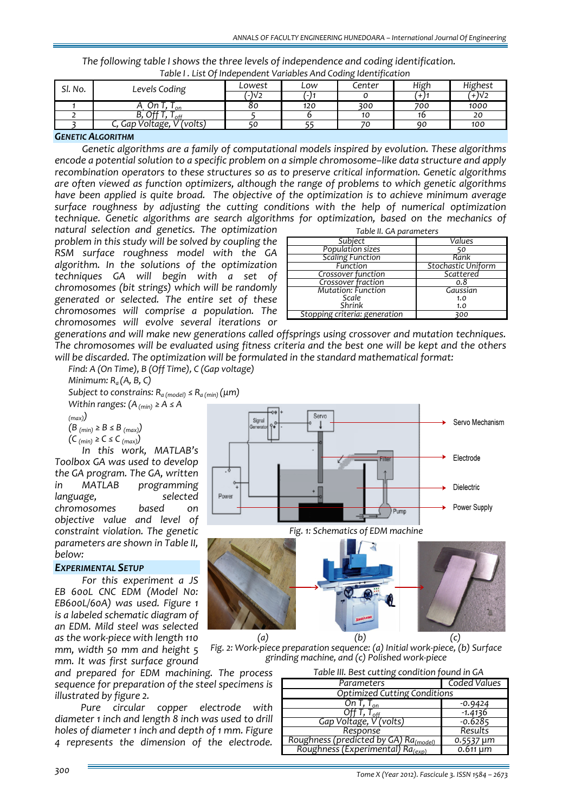| Table I. List Of Independent Variables And Coding Identification |                            |        |     |        |      |         |  |  |  |
|------------------------------------------------------------------|----------------------------|--------|-----|--------|------|---------|--|--|--|
| Sl. No.                                                          | Levels Coding              | Lowest | Low | Center | High | Highest |  |  |  |
|                                                                  |                            | '-)V2  |     |        |      | $+1V2$  |  |  |  |
|                                                                  | υn<br>n י                  | 80     | 120 | 300    | 700  | 1000    |  |  |  |
|                                                                  | +0t .ر<br>$I_{\text{off}}$ |        |     | 10     |      |         |  |  |  |
|                                                                  | Gap Voltage, V (volts)     |        |     | 70     | 90   | 100     |  |  |  |

# *The following table I shows the three levels of independence and coding identification.*

### *GENETIC ALGORITHM*

*Genetic algorithms are a family of computational models inspired by evolution. These algorithms encode a potential solution to a specific problem on a simple chromosome–like data structure and apply recombination operators to these structures so as to preserve critical information. Genetic algorithms are often viewed as function optimizers, although the range of problems to which genetic algorithms have been applied is quite broad. The objective of the optimization is to achieve minimum average surface roughness by adjusting the cutting conditions with the help of numerical optimization technique. Genetic algorithms are search algorithms for optimization, based on the mechanics of*

*natural selection and genetics. The optimization problem in this study will be solved by coupling the RSM surface roughness model with the GA algorithm. In the solutions of the optimization techniques GA will begin with a set of chromosomes (bit strings) which will be randomly generated or selected. The entire set of these chromosomes will comprise a population. The chromosomes will evolve several iterations or*

| Table II. GA parameters       |                    |  |  |  |  |
|-------------------------------|--------------------|--|--|--|--|
| Subject                       | Values             |  |  |  |  |
| Population sizes              |                    |  |  |  |  |
| <b>Scaling Function</b>       | Rank               |  |  |  |  |
| Function                      | Stochastic Uniform |  |  |  |  |
| Crossover function            | Scattered          |  |  |  |  |
| Crossover fraction            | 0.8                |  |  |  |  |
| <b>Mutation: Function</b>     | Gaussian           |  |  |  |  |
| Scale                         | 1.0                |  |  |  |  |
| Shrink                        | 1.0                |  |  |  |  |
| Stopping criteria: generation | 300                |  |  |  |  |

*generations and will make new generations called offsprings using crossover and mutation techniques.* The chromosomes will be evaluated using fitness criteria and the best one will be kept and the others *will be discarded. The optimization will be formulated in the standard mathematical format:*

*Find: A (On Time), B (Off Time), C (Gap voltage)*

*Minimum: Ra (A, B, C)*

*Subject to constrains: Ra (model) ≤ Ra (min) (μm)*

*Within ranges: (A(min) ≥ A ≤ A*

*(max))*

*(B (min) ≥ B ≤ B (max))*

*(C (min) ≥ C ≤ C (max))*

*In this work, MATLAB's Toolbox GA was used to develop the GA program. The GA, written in MATLAB programming language, selected chromosomes based on objective value and level of constraint violation. The genetic parameters are shown in Table II, below:*

#### *EXPERIMENTAL SETUP*

*For this experiment a JS EB 600L CNC EDM (Model N0: EB600L/60A) was used. Figure 1 is a labeled schematic diagram of an EDM. Mild steel was selected as the work‐piece with length 110 mm, width 50 mm and height 5 mm. It was first surface ground*

*and prepared for EDM machining. The process sequence for preparation of the steel specimens is illustrated by figure 2.* 

*Pure circular copper electrode with diameter 1 inch and length 8 inch was used to drill holes of diameter 1 inch and depth of 1 mm. Figure 4 represents the dimension of the electrode.*

| $_{min}$ ) ( $\mu$ 111)                            |  |                   |  |  |  |  |
|----------------------------------------------------|--|-------------------|--|--|--|--|
| ⊸o l<br>Servo<br>Signal<br>$\circ$<br>Generator ?• |  | Servo Mechanism   |  |  |  |  |
| ٠<br>Filter                                        |  | Electrode         |  |  |  |  |
| Power                                              |  | <b>Dielectric</b> |  |  |  |  |
| Pump                                               |  | Power Supply      |  |  |  |  |
| Fig. 1: Schematics of EDM machine                  |  |                   |  |  |  |  |



*Fig. 2: Work‐piece preparation sequence: (a) Initial work‐piece, (b) Surface grinding machine, and (c) Polished work‐piece*

| Table III. Best cutting condition found in GA                               |                            |  |  |  |  |
|-----------------------------------------------------------------------------|----------------------------|--|--|--|--|
| Parameters                                                                  | Coded Values               |  |  |  |  |
| <b>Optimized Cutting Conditions</b>                                         |                            |  |  |  |  |
| On T, $T_{on}$                                                              | $-0.9424$                  |  |  |  |  |
| $I_{off}$                                                                   | $-1.4136$                  |  |  |  |  |
| Gap Voltage, V'(volts)                                                      | $-0.6285$                  |  |  |  |  |
| Response                                                                    | Results                    |  |  |  |  |
| Roughness (predicted by GA) Ra <sub>(model)</sub>                           | 0.5537 µm                  |  |  |  |  |
| $\overline{\text{Roughness}}$ (Experimental) $\overline{\text{Ra}_{(exp)}}$ | $\overline{0.6}11 \,\mu m$ |  |  |  |  |

*Tome <sup>X</sup> (Year 2012). Fascicule 3. ISSN <sup>1584</sup> – <sup>2673</sup> 300*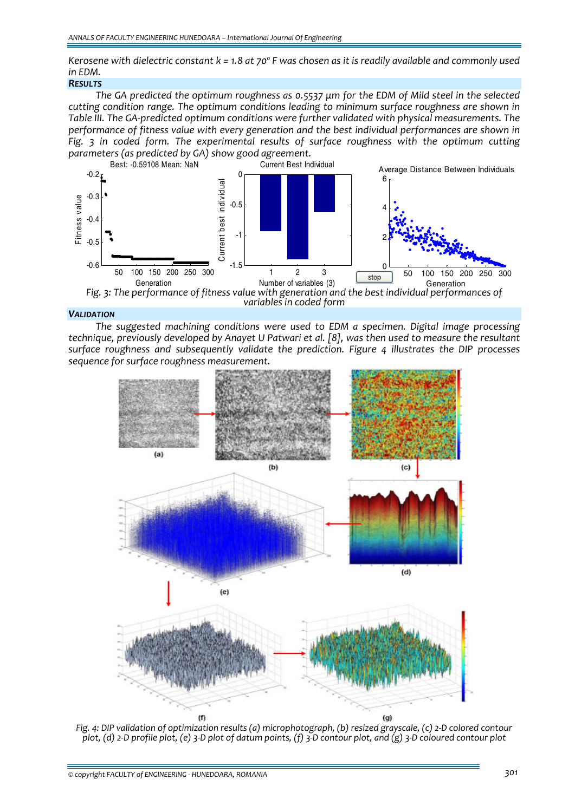Kerosene with dielectric constant  $k = 1.8$  at 70° F was chosen as it is readily available and commonly used *in EDM.*

## *RESULTS*

The GA predicted the optimum roughness as 0.5537 µm for the EDM of Mild steel in the selected *cutting condition range. The optimum conditions leading to minimum surface roughness are shown in Table III. The GA‐predicted optimum conditions were further validated with physical measurements. The performance of fitness value with every generation and the best individual performances are shown in Fig. 3 in coded form. The experimental results of surface roughness with the optimum cutting parameters (as predicted by GA) show good agreement.*



*Fig. 3: The performance of fitness value with generation and the best individual performances of variables in coded form*

#### *VALIDATION*

*The suggested machining conditions were used to EDM a specimen. Digital image processing technique, previously developed by Anayet U Patwari et al. [8], was then used to measure the resultant surface roughness and subsequently validate the prediction. Figure 4 illustrates the DIP processes sequence for surface roughness measurement.*